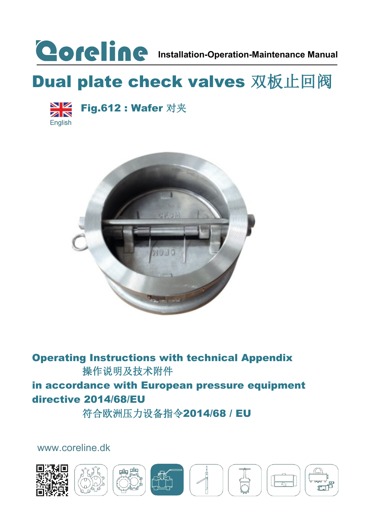

## Dual plate check valves 双板止回阀



Fig.612 : Wafer 对夹



Operating Instructions with technical Appendix 操作说明及技术附件 in accordance with European pressure equipment directive 2014/68/EU 符合欧洲压力设备指令2014/68 / EU

[www.coreline.dk](http://www.coreline.dk/)

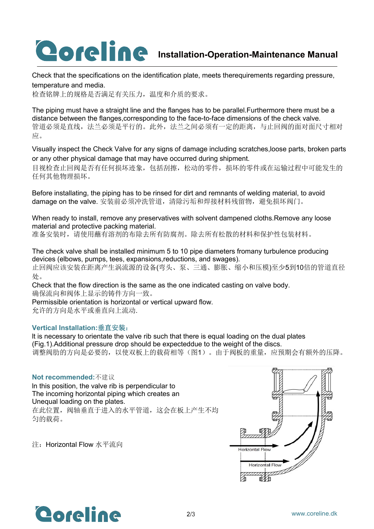# **COFCINC** Installation-Operation-Maintenance Manual

Check that the specifications on the identification plate, meets therequirements regarding pressure, temperature and media.

检查铭牌上的规格是否满足有关压力,温度和介质的要求。

The piping must have a straight line and the flanges has to be parallel. Furthermore there must be a distance between the flanges,corresponding to the face-to-face dimensions of the check valve. 管道必须是直线,法兰必须是平行的。此外,法兰之间必须有一定的距离,与止回阀的面对面尺寸相对  $\overline{\mathbf{w}}$ .

Visually inspect the Check Valve for any signs of damage including scratches,loose parts, broken parts or any other physical damage that may have occurred during shipment.

目视检查止回阀是否有任何损坏迹象,包括刮擦,松动的零件,损坏的零件或在运输过程中可能发生的 任何其他物理损坏。

Before installating, the piping has to be rinsed for dirt and remnants of welding material, to avoid damage on the valve. 安装前必须冲洗管道,清除污垢和焊接材料残留物,避免损坏阀门。

When ready to install, remove any preservatives with solvent dampened cloths.Remove any loose material and protective packing material.

准备安装时,请使用蘸有溶剂的布除去所有防腐剂。除去所有松散的材料和保护性包装材料。

The check valve shall be installed minimum 5 to 10 pipe diameters fromany turbulence producing devices (elbows, pumps, tees, expansions,reductions, and swages). 止回阀应该安装在距离产生涡流源的设备(弯头、泵、三通、膨胀、缩小和压模)至少5到10倍的管道直径 处。

Check that the flow direction is the same as the one indicated casting on valve body.确保流向和阀体上显示的铸件方向一致。

Permissible orientation is horizontal or vertical upward flow.

允许的方向是水平或垂直向上流动.

#### **Vertical Installation:**垂直安装:

lt is necessary to orientate the valve rib such that there is equal loading on the dual plates (Fig.1).Additional pressure drop should be expecteddue to the weight of the discs. 调整阀肋的方向是必要的,以使双板上的载荷相等(图1)。由于阀板的重量,应预期会有额外的压降。

#### **Not recommended:**不建议

ln this position, the valve rib is perpendicular to The incoming horizontal piping which creates an Unequal loading on the plates. 在此位置,阀轴垂直于进入的水平管道,这会在板上产生不均 匀的载荷。

注:Horizontal Flow 水平流向